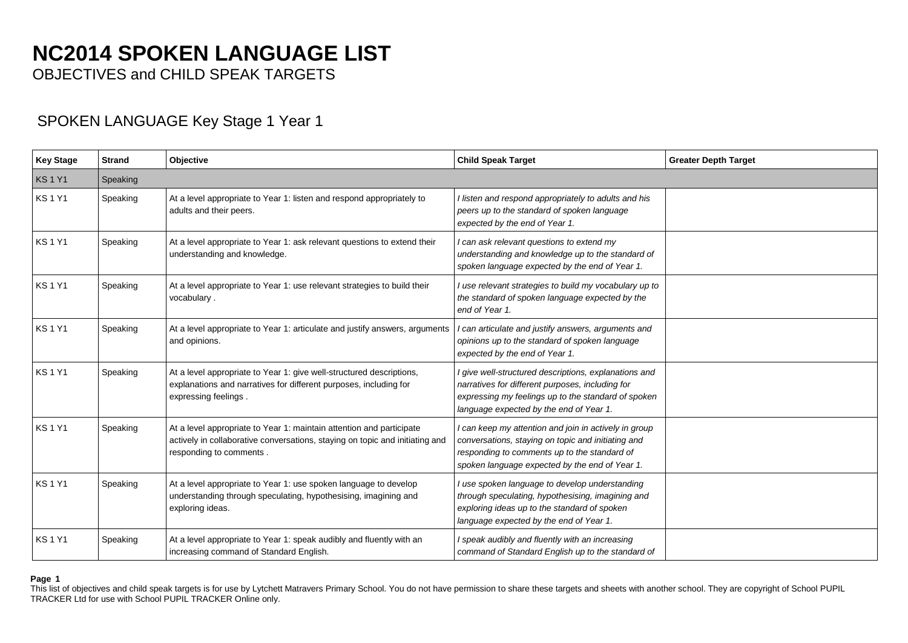# **NC2014 SPOKEN LANGUAGE LIST**

OBJECTIVES and CHILD SPEAK TARGETS

### SPOKEN LANGUAGE Key Stage 1 Year 1

| <b>Key Stage</b> | <b>Strand</b> | Objective                                                                                                                                                                       | <b>Child Speak Target</b>                                                                                                                                                                                     | <b>Greater Depth Target</b> |
|------------------|---------------|---------------------------------------------------------------------------------------------------------------------------------------------------------------------------------|---------------------------------------------------------------------------------------------------------------------------------------------------------------------------------------------------------------|-----------------------------|
| <b>KS1Y1</b>     | Speaking      |                                                                                                                                                                                 |                                                                                                                                                                                                               |                             |
| <b>KS1Y1</b>     | Speaking      | At a level appropriate to Year 1: listen and respond appropriately to<br>adults and their peers.                                                                                | I listen and respond appropriately to adults and his<br>peers up to the standard of spoken language<br>expected by the end of Year 1.                                                                         |                             |
| <b>KS1Y1</b>     | Speaking      | At a level appropriate to Year 1: ask relevant questions to extend their<br>understanding and knowledge.                                                                        | I can ask relevant questions to extend my<br>understanding and knowledge up to the standard of<br>spoken language expected by the end of Year 1.                                                              |                             |
| <b>KS1Y1</b>     | Speaking      | At a level appropriate to Year 1: use relevant strategies to build their<br>vocabulary.                                                                                         | I use relevant strategies to build my vocabulary up to<br>the standard of spoken language expected by the<br>end of Year 1.                                                                                   |                             |
| <b>KS1Y1</b>     | Speaking      | At a level appropriate to Year 1: articulate and justify answers, arguments<br>and opinions.                                                                                    | I can articulate and justify answers, arguments and<br>opinions up to the standard of spoken language<br>expected by the end of Year 1.                                                                       |                             |
| <b>KS1Y1</b>     | Speaking      | At a level appropriate to Year 1: give well-structured descriptions,<br>explanations and narratives for different purposes, including for<br>expressing feelings.               | I give well-structured descriptions, explanations and<br>narratives for different purposes, including for<br>expressing my feelings up to the standard of spoken<br>language expected by the end of Year 1.   |                             |
| <b>KS1Y1</b>     | Speaking      | At a level appropriate to Year 1: maintain attention and participate<br>actively in collaborative conversations, staying on topic and initiating and<br>responding to comments. | I can keep my attention and join in actively in group<br>conversations, staying on topic and initiating and<br>responding to comments up to the standard of<br>spoken language expected by the end of Year 1. |                             |
| <b>KS1Y1</b>     | Speaking      | At a level appropriate to Year 1: use spoken language to develop<br>understanding through speculating, hypothesising, imagining and<br>exploring ideas.                         | I use spoken language to develop understanding<br>through speculating, hypothesising, imagining and<br>exploring ideas up to the standard of spoken<br>language expected by the end of Year 1.                |                             |
| <b>KS1Y1</b>     | Speaking      | At a level appropriate to Year 1: speak audibly and fluently with an<br>increasing command of Standard English.                                                                 | I speak audibly and fluently with an increasing<br>command of Standard English up to the standard of                                                                                                          |                             |

#### **Page 1**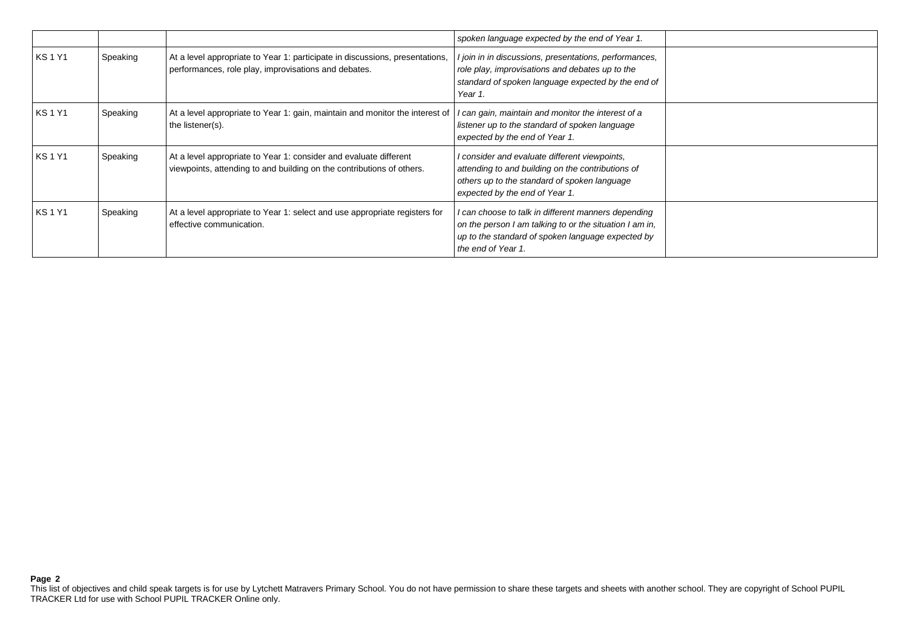|              |          |                                                                                                                                            | spoken language expected by the end of Year 1.                                                                                                                                            |  |
|--------------|----------|--------------------------------------------------------------------------------------------------------------------------------------------|-------------------------------------------------------------------------------------------------------------------------------------------------------------------------------------------|--|
| <b>KS1Y1</b> | Speaking | At a level appropriate to Year 1: participate in discussions, presentations,<br>performances, role play, improvisations and debates.       | I join in in discussions, presentations, performances,<br>role play, improvisations and debates up to the<br>standard of spoken language expected by the end of<br>Year 1.                |  |
| <b>KS1Y1</b> | Speaking | At a level appropriate to Year 1: gain, maintain and monitor the interest of<br>the listener(s).                                           | I can gain, maintain and monitor the interest of a<br>listener up to the standard of spoken language<br>expected by the end of Year 1.                                                    |  |
| <b>KS1Y1</b> | Speaking | At a level appropriate to Year 1: consider and evaluate different<br>viewpoints, attending to and building on the contributions of others. | I consider and evaluate different viewpoints,<br>attending to and building on the contributions of<br>others up to the standard of spoken language<br>expected by the end of Year 1.      |  |
| <b>KS1Y1</b> | Speaking | At a level appropriate to Year 1: select and use appropriate registers for<br>effective communication.                                     | I can choose to talk in different manners depending<br>on the person I am talking to or the situation I am in,<br>up to the standard of spoken language expected by<br>the end of Year 1. |  |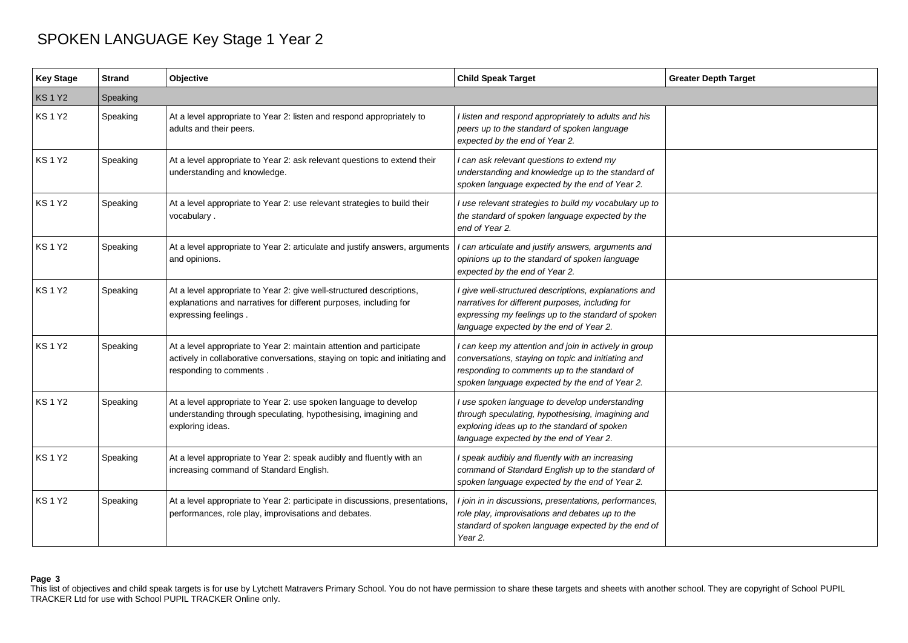| <b>Key Stage</b> | <b>Strand</b> | Objective                                                                                                                                                                       | <b>Child Speak Target</b>                                                                                                                                                                                     | <b>Greater Depth Target</b> |
|------------------|---------------|---------------------------------------------------------------------------------------------------------------------------------------------------------------------------------|---------------------------------------------------------------------------------------------------------------------------------------------------------------------------------------------------------------|-----------------------------|
| <b>KS1Y2</b>     | Speaking      |                                                                                                                                                                                 |                                                                                                                                                                                                               |                             |
| <b>KS1Y2</b>     | Speaking      | At a level appropriate to Year 2: listen and respond appropriately to<br>adults and their peers.                                                                                | I listen and respond appropriately to adults and his<br>peers up to the standard of spoken language<br>expected by the end of Year 2.                                                                         |                             |
| <b>KS1Y2</b>     | Speaking      | At a level appropriate to Year 2: ask relevant questions to extend their<br>understanding and knowledge.                                                                        | I can ask relevant questions to extend my<br>understanding and knowledge up to the standard of<br>spoken language expected by the end of Year 2.                                                              |                             |
| <b>KS1Y2</b>     | Speaking      | At a level appropriate to Year 2: use relevant strategies to build their<br>vocabulary.                                                                                         | I use relevant strategies to build my vocabulary up to<br>the standard of spoken language expected by the<br>end of Year 2.                                                                                   |                             |
| <b>KS1Y2</b>     | Speaking      | At a level appropriate to Year 2: articulate and justify answers, arguments<br>and opinions.                                                                                    | I can articulate and justify answers, arguments and<br>opinions up to the standard of spoken language<br>expected by the end of Year 2.                                                                       |                             |
| <b>KS1Y2</b>     | Speaking      | At a level appropriate to Year 2: give well-structured descriptions,<br>explanations and narratives for different purposes, including for<br>expressing feelings.               | I give well-structured descriptions, explanations and<br>narratives for different purposes, including for<br>expressing my feelings up to the standard of spoken<br>language expected by the end of Year 2.   |                             |
| <b>KS1Y2</b>     | Speaking      | At a level appropriate to Year 2: maintain attention and participate<br>actively in collaborative conversations, staying on topic and initiating and<br>responding to comments. | I can keep my attention and join in actively in group<br>conversations, staying on topic and initiating and<br>responding to comments up to the standard of<br>spoken language expected by the end of Year 2. |                             |
| KS 1 Y2          | Speaking      | At a level appropriate to Year 2: use spoken language to develop<br>understanding through speculating, hypothesising, imagining and<br>exploring ideas.                         | I use spoken language to develop understanding<br>through speculating, hypothesising, imagining and<br>exploring ideas up to the standard of spoken<br>language expected by the end of Year 2.                |                             |
| <b>KS1Y2</b>     | Speaking      | At a level appropriate to Year 2: speak audibly and fluently with an<br>increasing command of Standard English.                                                                 | I speak audibly and fluently with an increasing<br>command of Standard English up to the standard of<br>spoken language expected by the end of Year 2.                                                        |                             |
| <b>KS1Y2</b>     | Speaking      | At a level appropriate to Year 2: participate in discussions, presentations,<br>performances, role play, improvisations and debates.                                            | I join in in discussions, presentations, performances,<br>role play, improvisations and debates up to the<br>standard of spoken language expected by the end of<br>Year 2.                                    |                             |

### **Page 3**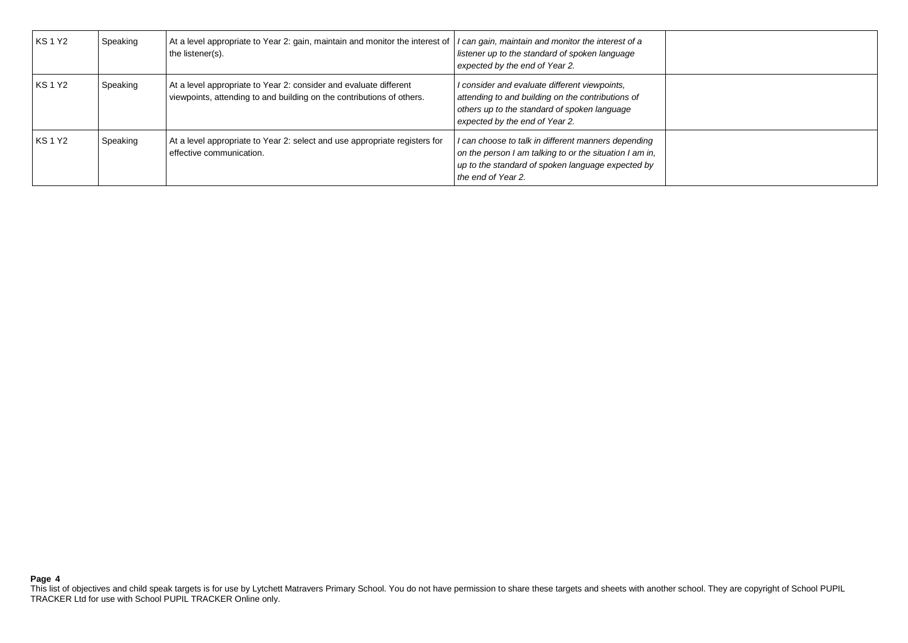| <b>KS1Y2</b> | Speaking | At a level appropriate to Year 2: gain, maintain and monitor the interest of<br>the listener(s).                                           | I can gain, maintain and monitor the interest of a<br>listener up to the standard of spoken language<br>expected by the end of Year 2.                                                    |  |
|--------------|----------|--------------------------------------------------------------------------------------------------------------------------------------------|-------------------------------------------------------------------------------------------------------------------------------------------------------------------------------------------|--|
| <b>KS1Y2</b> | Speaking | At a level appropriate to Year 2: consider and evaluate different<br>viewpoints, attending to and building on the contributions of others. | I consider and evaluate different viewpoints,<br>attending to and building on the contributions of<br>others up to the standard of spoken language<br>expected by the end of Year 2.      |  |
| <b>KS1Y2</b> | Speaking | At a level appropriate to Year 2: select and use appropriate registers for<br>effective communication.                                     | I can choose to talk in different manners depending<br>on the person I am talking to or the situation I am in,<br>up to the standard of spoken language expected by<br>the end of Year 2. |  |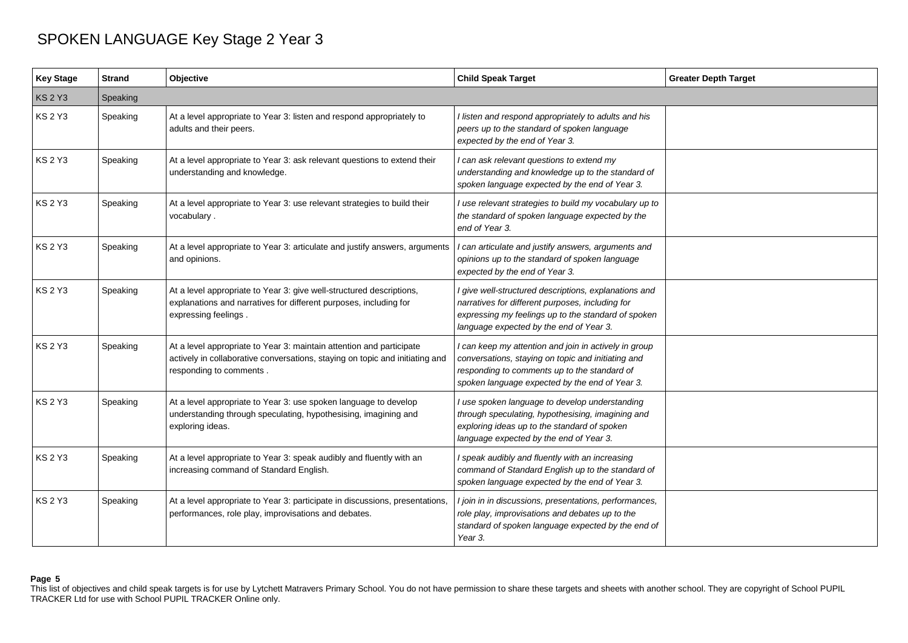| <b>Key Stage</b> | <b>Strand</b> | Objective                                                                                                                                                                       | <b>Child Speak Target</b>                                                                                                                                                                                     | <b>Greater Depth Target</b> |
|------------------|---------------|---------------------------------------------------------------------------------------------------------------------------------------------------------------------------------|---------------------------------------------------------------------------------------------------------------------------------------------------------------------------------------------------------------|-----------------------------|
| <b>KS 2 Y3</b>   | Speaking      |                                                                                                                                                                                 |                                                                                                                                                                                                               |                             |
| <b>KS 2 Y3</b>   | Speaking      | At a level appropriate to Year 3: listen and respond appropriately to<br>adults and their peers.                                                                                | I listen and respond appropriately to adults and his<br>peers up to the standard of spoken language<br>expected by the end of Year 3.                                                                         |                             |
| <b>KS 2 Y3</b>   | Speaking      | At a level appropriate to Year 3: ask relevant questions to extend their<br>understanding and knowledge.                                                                        | I can ask relevant questions to extend my<br>understanding and knowledge up to the standard of<br>spoken language expected by the end of Year 3.                                                              |                             |
| <b>KS 2 Y3</b>   | Speaking      | At a level appropriate to Year 3: use relevant strategies to build their<br>vocabulary.                                                                                         | I use relevant strategies to build my vocabulary up to<br>the standard of spoken language expected by the<br>end of Year 3.                                                                                   |                             |
| KS 2 Y3          | Speaking      | At a level appropriate to Year 3: articulate and justify answers, arguments<br>and opinions.                                                                                    | I can articulate and justify answers, arguments and<br>opinions up to the standard of spoken language<br>expected by the end of Year 3.                                                                       |                             |
| <b>KS 2 Y3</b>   | Speaking      | At a level appropriate to Year 3: give well-structured descriptions,<br>explanations and narratives for different purposes, including for<br>expressing feelings.               | I give well-structured descriptions, explanations and<br>narratives for different purposes, including for<br>expressing my feelings up to the standard of spoken<br>language expected by the end of Year 3.   |                             |
| <b>KS 2 Y3</b>   | Speaking      | At a level appropriate to Year 3: maintain attention and participate<br>actively in collaborative conversations, staying on topic and initiating and<br>responding to comments. | I can keep my attention and join in actively in group<br>conversations, staying on topic and initiating and<br>responding to comments up to the standard of<br>spoken language expected by the end of Year 3. |                             |
| <b>KS 2 Y3</b>   | Speaking      | At a level appropriate to Year 3: use spoken language to develop<br>understanding through speculating, hypothesising, imagining and<br>exploring ideas.                         | I use spoken language to develop understanding<br>through speculating, hypothesising, imagining and<br>exploring ideas up to the standard of spoken<br>language expected by the end of Year 3.                |                             |
| <b>KS 2 Y3</b>   | Speaking      | At a level appropriate to Year 3: speak audibly and fluently with an<br>increasing command of Standard English.                                                                 | I speak audibly and fluently with an increasing<br>command of Standard English up to the standard of<br>spoken language expected by the end of Year 3.                                                        |                             |
| <b>KS 2 Y3</b>   | Speaking      | At a level appropriate to Year 3: participate in discussions, presentations,<br>performances, role play, improvisations and debates.                                            | I join in in discussions, presentations, performances,<br>role play, improvisations and debates up to the<br>standard of spoken language expected by the end of<br>Year 3.                                    |                             |

### **Page 5**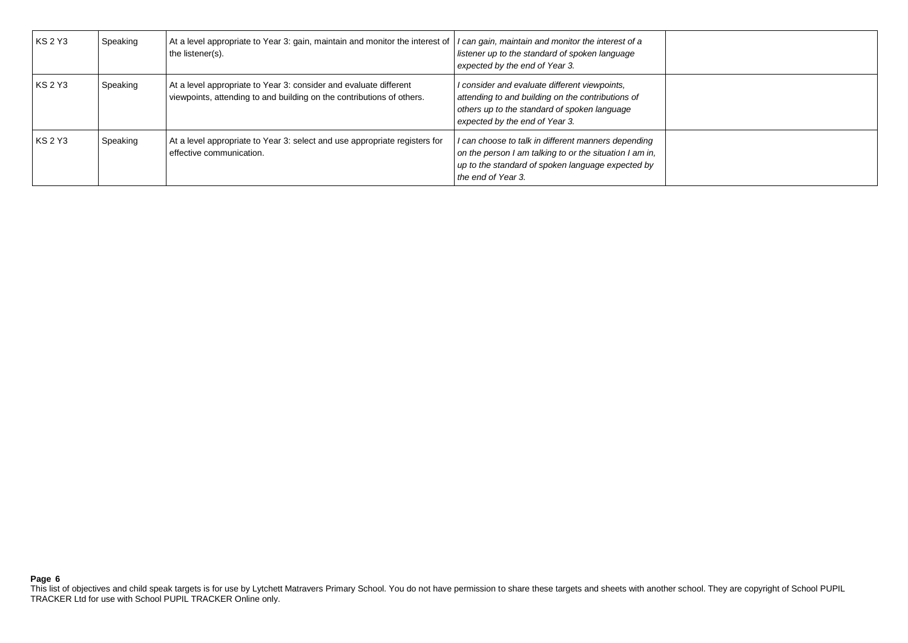| <b>KS 2 Y3</b> | Speaking | At a level appropriate to Year 3: gain, maintain and monitor the interest of<br>the listener(s).                                           | I can gain, maintain and monitor the interest of a<br>listener up to the standard of spoken language<br>expected by the end of Year 3.                                                    |  |
|----------------|----------|--------------------------------------------------------------------------------------------------------------------------------------------|-------------------------------------------------------------------------------------------------------------------------------------------------------------------------------------------|--|
| <b>KS 2 Y3</b> | Speaking | At a level appropriate to Year 3: consider and evaluate different<br>viewpoints, attending to and building on the contributions of others. | I consider and evaluate different viewpoints,<br>attending to and building on the contributions of<br>others up to the standard of spoken language<br>expected by the end of Year 3.      |  |
| <b>KS 2 Y3</b> | Speaking | At a level appropriate to Year 3: select and use appropriate registers for<br>effective communication.                                     | I can choose to talk in different manners depending<br>on the person I am talking to or the situation I am in,<br>up to the standard of spoken language expected by<br>the end of Year 3. |  |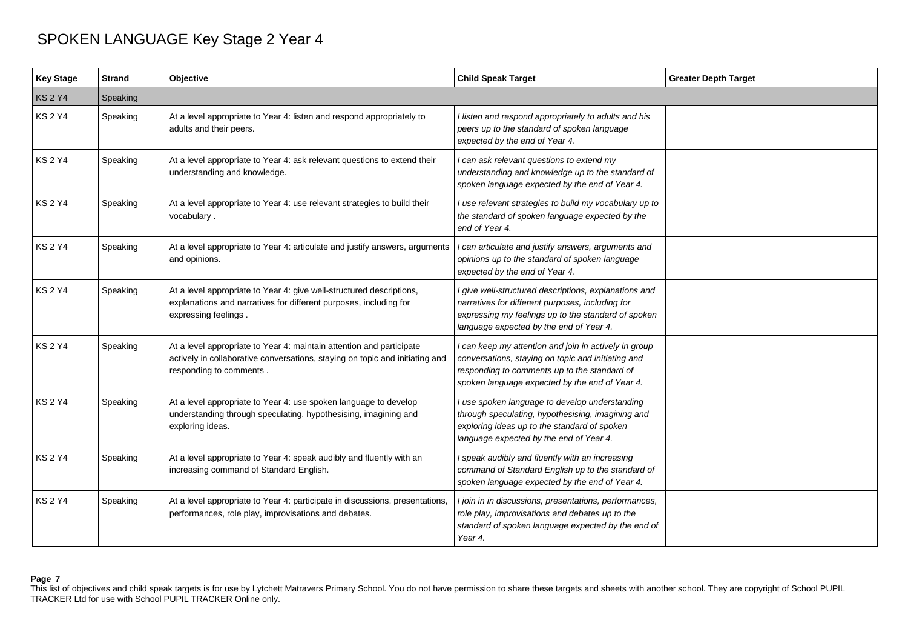| <b>Key Stage</b> | <b>Strand</b> | Objective                                                                                                                                                                       | <b>Child Speak Target</b>                                                                                                                                                                                     | <b>Greater Depth Target</b> |
|------------------|---------------|---------------------------------------------------------------------------------------------------------------------------------------------------------------------------------|---------------------------------------------------------------------------------------------------------------------------------------------------------------------------------------------------------------|-----------------------------|
| <b>KS2Y4</b>     | Speaking      |                                                                                                                                                                                 |                                                                                                                                                                                                               |                             |
| <b>KS2Y4</b>     | Speaking      | At a level appropriate to Year 4: listen and respond appropriately to<br>adults and their peers.                                                                                | I listen and respond appropriately to adults and his<br>peers up to the standard of spoken language<br>expected by the end of Year 4.                                                                         |                             |
| <b>KS2Y4</b>     | Speaking      | At a level appropriate to Year 4: ask relevant questions to extend their<br>understanding and knowledge.                                                                        | I can ask relevant questions to extend my<br>understanding and knowledge up to the standard of<br>spoken language expected by the end of Year 4.                                                              |                             |
| <b>KS2Y4</b>     | Speaking      | At a level appropriate to Year 4: use relevant strategies to build their<br>vocabulary.                                                                                         | I use relevant strategies to build my vocabulary up to<br>the standard of spoken language expected by the<br>end of Year 4.                                                                                   |                             |
| <b>KS2Y4</b>     | Speaking      | At a level appropriate to Year 4: articulate and justify answers, arguments<br>and opinions.                                                                                    | I can articulate and justify answers, arguments and<br>opinions up to the standard of spoken language<br>expected by the end of Year 4.                                                                       |                             |
| <b>KS 2 Y4</b>   | Speaking      | At a level appropriate to Year 4: give well-structured descriptions,<br>explanations and narratives for different purposes, including for<br>expressing feelings.               | I give well-structured descriptions, explanations and<br>narratives for different purposes, including for<br>expressing my feelings up to the standard of spoken<br>language expected by the end of Year 4.   |                             |
| KS 2 Y4          | Speaking      | At a level appropriate to Year 4: maintain attention and participate<br>actively in collaborative conversations, staying on topic and initiating and<br>responding to comments. | I can keep my attention and join in actively in group<br>conversations, staying on topic and initiating and<br>responding to comments up to the standard of<br>spoken language expected by the end of Year 4. |                             |
| KS 2 Y4          | Speaking      | At a level appropriate to Year 4: use spoken language to develop<br>understanding through speculating, hypothesising, imagining and<br>exploring ideas.                         | I use spoken language to develop understanding<br>through speculating, hypothesising, imagining and<br>exploring ideas up to the standard of spoken<br>language expected by the end of Year 4.                |                             |
| <b>KS 2 Y4</b>   | Speaking      | At a level appropriate to Year 4: speak audibly and fluently with an<br>increasing command of Standard English.                                                                 | I speak audibly and fluently with an increasing<br>command of Standard English up to the standard of<br>spoken language expected by the end of Year 4.                                                        |                             |
| <b>KS2Y4</b>     | Speaking      | At a level appropriate to Year 4: participate in discussions, presentations,<br>performances, role play, improvisations and debates.                                            | I join in in discussions, presentations, performances,<br>role play, improvisations and debates up to the<br>standard of spoken language expected by the end of<br>Year 4.                                    |                             |

### **Page 7**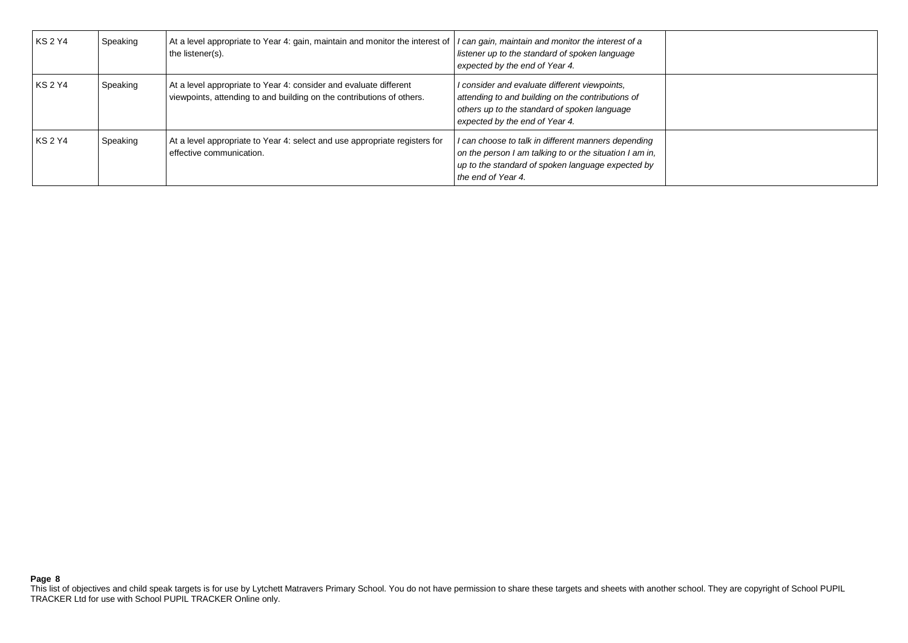| <b>KS 2 Y4</b> | Speaking | At a level appropriate to Year 4: gain, maintain and monitor the interest of<br>the listener(s).                                           | I can gain, maintain and monitor the interest of a<br>listener up to the standard of spoken language<br>expected by the end of Year 4.                                                    |  |
|----------------|----------|--------------------------------------------------------------------------------------------------------------------------------------------|-------------------------------------------------------------------------------------------------------------------------------------------------------------------------------------------|--|
| <b>KS 2 Y4</b> | Speaking | At a level appropriate to Year 4: consider and evaluate different<br>viewpoints, attending to and building on the contributions of others. | I consider and evaluate different viewpoints,<br>attending to and building on the contributions of<br>others up to the standard of spoken language<br>expected by the end of Year 4.      |  |
| <b>KS 2 Y4</b> | Speaking | At a level appropriate to Year 4: select and use appropriate registers for<br>effective communication.                                     | I can choose to talk in different manners depending<br>on the person I am talking to or the situation I am in,<br>up to the standard of spoken language expected by<br>the end of Year 4. |  |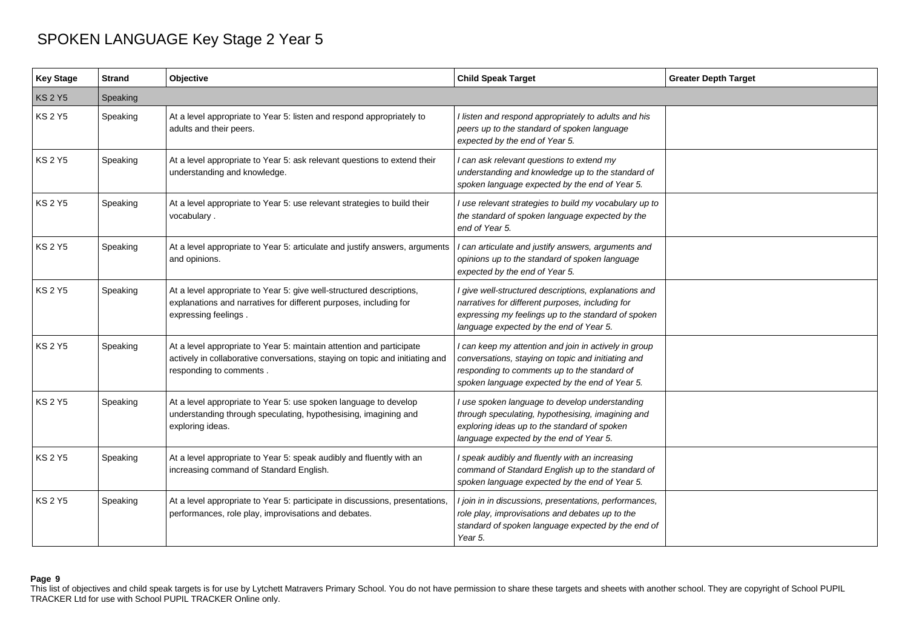| <b>Key Stage</b> | <b>Strand</b> | Objective                                                                                                                                                                       | <b>Child Speak Target</b>                                                                                                                                                                                     | <b>Greater Depth Target</b> |
|------------------|---------------|---------------------------------------------------------------------------------------------------------------------------------------------------------------------------------|---------------------------------------------------------------------------------------------------------------------------------------------------------------------------------------------------------------|-----------------------------|
| <b>KS 2 Y5</b>   | Speaking      |                                                                                                                                                                                 |                                                                                                                                                                                                               |                             |
| <b>KS 2 Y5</b>   | Speaking      | At a level appropriate to Year 5: listen and respond appropriately to<br>adults and their peers.                                                                                | I listen and respond appropriately to adults and his<br>peers up to the standard of spoken language<br>expected by the end of Year 5.                                                                         |                             |
| <b>KS 2 Y5</b>   | Speaking      | At a level appropriate to Year 5: ask relevant questions to extend their<br>understanding and knowledge.                                                                        | I can ask relevant questions to extend my<br>understanding and knowledge up to the standard of<br>spoken language expected by the end of Year 5.                                                              |                             |
| <b>KS 2 Y5</b>   | Speaking      | At a level appropriate to Year 5: use relevant strategies to build their<br>vocabulary.                                                                                         | I use relevant strategies to build my vocabulary up to<br>the standard of spoken language expected by the<br>end of Year 5.                                                                                   |                             |
| KS 2 Y5          | Speaking      | At a level appropriate to Year 5: articulate and justify answers, arguments<br>and opinions.                                                                                    | I can articulate and justify answers, arguments and<br>opinions up to the standard of spoken language<br>expected by the end of Year 5.                                                                       |                             |
| <b>KS 2 Y5</b>   | Speaking      | At a level appropriate to Year 5: give well-structured descriptions,<br>explanations and narratives for different purposes, including for<br>expressing feelings.               | I give well-structured descriptions, explanations and<br>narratives for different purposes, including for<br>expressing my feelings up to the standard of spoken<br>language expected by the end of Year 5.   |                             |
| <b>KS 2 Y5</b>   | Speaking      | At a level appropriate to Year 5: maintain attention and participate<br>actively in collaborative conversations, staying on topic and initiating and<br>responding to comments. | I can keep my attention and join in actively in group<br>conversations, staying on topic and initiating and<br>responding to comments up to the standard of<br>spoken language expected by the end of Year 5. |                             |
| <b>KS 2 Y5</b>   | Speaking      | At a level appropriate to Year 5: use spoken language to develop<br>understanding through speculating, hypothesising, imagining and<br>exploring ideas.                         | I use spoken language to develop understanding<br>through speculating, hypothesising, imagining and<br>exploring ideas up to the standard of spoken<br>language expected by the end of Year 5.                |                             |
| <b>KS 2 Y5</b>   | Speaking      | At a level appropriate to Year 5: speak audibly and fluently with an<br>increasing command of Standard English.                                                                 | I speak audibly and fluently with an increasing<br>command of Standard English up to the standard of<br>spoken language expected by the end of Year 5.                                                        |                             |
| <b>KS 2 Y5</b>   | Speaking      | At a level appropriate to Year 5: participate in discussions, presentations,<br>performances, role play, improvisations and debates.                                            | I join in in discussions, presentations, performances,<br>role play, improvisations and debates up to the<br>standard of spoken language expected by the end of<br>Year 5.                                    |                             |

### **Page 9**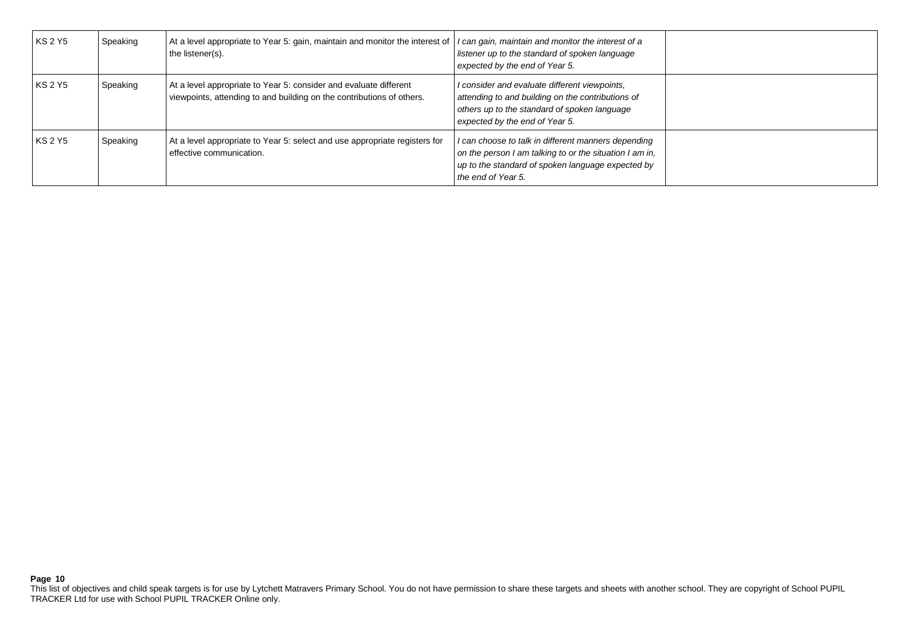| <b>KS 2 Y5</b> | Speaking | At a level appropriate to Year 5: gain, maintain and monitor the interest of<br>the listener(s).                                           | I can gain, maintain and monitor the interest of a<br>listener up to the standard of spoken language<br>expected by the end of Year 5.                                                    |  |
|----------------|----------|--------------------------------------------------------------------------------------------------------------------------------------------|-------------------------------------------------------------------------------------------------------------------------------------------------------------------------------------------|--|
| <b>KS 2 Y5</b> | Speaking | At a level appropriate to Year 5: consider and evaluate different<br>viewpoints, attending to and building on the contributions of others. | I consider and evaluate different viewpoints,<br>attending to and building on the contributions of<br>others up to the standard of spoken language<br>expected by the end of Year 5.      |  |
| <b>KS 2 Y5</b> | Speaking | At a level appropriate to Year 5: select and use appropriate registers for<br>effective communication.                                     | I can choose to talk in different manners depending<br>on the person I am talking to or the situation I am in,<br>up to the standard of spoken language expected by<br>the end of Year 5. |  |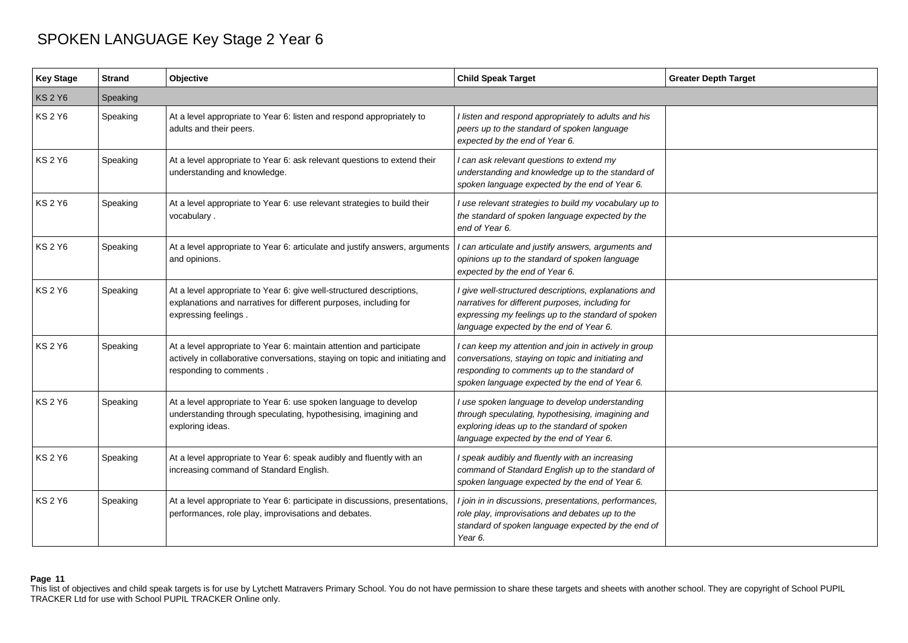| <b>Key Stage</b> | <b>Strand</b> | Objective                                                                                                                                                                       | <b>Child Speak Target</b>                                                                                                                                                                                     | <b>Greater Depth Target</b> |
|------------------|---------------|---------------------------------------------------------------------------------------------------------------------------------------------------------------------------------|---------------------------------------------------------------------------------------------------------------------------------------------------------------------------------------------------------------|-----------------------------|
| <b>KS 2 Y6</b>   | Speaking      |                                                                                                                                                                                 |                                                                                                                                                                                                               |                             |
| <b>KS 2 Y6</b>   | Speaking      | At a level appropriate to Year 6: listen and respond appropriately to<br>adults and their peers.                                                                                | I listen and respond appropriately to adults and his<br>peers up to the standard of spoken language<br>expected by the end of Year 6.                                                                         |                             |
| <b>KS 2 Y6</b>   | Speaking      | At a level appropriate to Year 6: ask relevant questions to extend their<br>understanding and knowledge.                                                                        | I can ask relevant questions to extend my<br>understanding and knowledge up to the standard of<br>spoken language expected by the end of Year 6.                                                              |                             |
| <b>KS 2 Y6</b>   | Speaking      | At a level appropriate to Year 6: use relevant strategies to build their<br>vocabulary.                                                                                         | I use relevant strategies to build my vocabulary up to<br>the standard of spoken language expected by the<br>end of Year 6.                                                                                   |                             |
| <b>KS 2 Y6</b>   | Speaking      | At a level appropriate to Year 6: articulate and justify answers, arguments<br>and opinions.                                                                                    | I can articulate and justify answers, arguments and<br>opinions up to the standard of spoken language<br>expected by the end of Year 6.                                                                       |                             |
| <b>KS 2 Y6</b>   | Speaking      | At a level appropriate to Year 6: give well-structured descriptions,<br>explanations and narratives for different purposes, including for<br>expressing feelings.               | I give well-structured descriptions, explanations and<br>narratives for different purposes, including for<br>expressing my feelings up to the standard of spoken<br>language expected by the end of Year 6.   |                             |
| <b>KS 2 Y6</b>   | Speaking      | At a level appropriate to Year 6: maintain attention and participate<br>actively in collaborative conversations, staying on topic and initiating and<br>responding to comments. | I can keep my attention and join in actively in group<br>conversations, staying on topic and initiating and<br>responding to comments up to the standard of<br>spoken language expected by the end of Year 6. |                             |
| KS 2 Y6          | Speaking      | At a level appropriate to Year 6: use spoken language to develop<br>understanding through speculating, hypothesising, imagining and<br>exploring ideas.                         | I use spoken language to develop understanding<br>through speculating, hypothesising, imagining and<br>exploring ideas up to the standard of spoken<br>language expected by the end of Year 6.                |                             |
| <b>KS 2 Y6</b>   | Speaking      | At a level appropriate to Year 6: speak audibly and fluently with an<br>increasing command of Standard English.                                                                 | I speak audibly and fluently with an increasing<br>command of Standard English up to the standard of<br>spoken language expected by the end of Year 6.                                                        |                             |
| <b>KS 2 Y6</b>   | Speaking      | At a level appropriate to Year 6: participate in discussions, presentations,<br>performances, role play, improvisations and debates.                                            | I join in in discussions, presentations, performances,<br>role play, improvisations and debates up to the<br>standard of spoken language expected by the end of<br>Year 6.                                    |                             |

### **Page 11**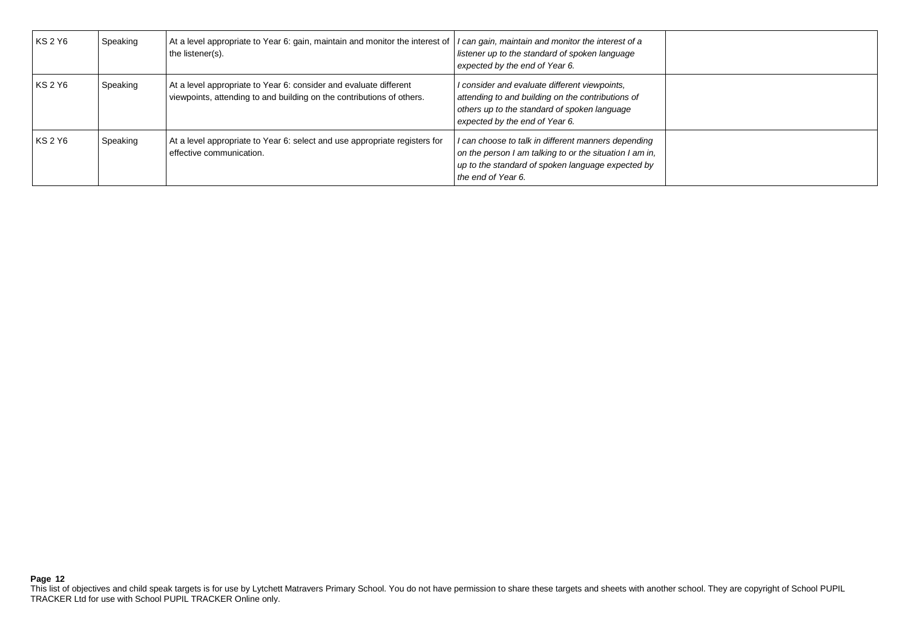| <b>KS 2 Y6</b> | Speaking | At a level appropriate to Year 6: gain, maintain and monitor the interest of<br>the listener(s).                                           | I can gain, maintain and monitor the interest of a<br>listener up to the standard of spoken language<br>expected by the end of Year 6.                                                    |  |
|----------------|----------|--------------------------------------------------------------------------------------------------------------------------------------------|-------------------------------------------------------------------------------------------------------------------------------------------------------------------------------------------|--|
| <b>KS 2 Y6</b> | Speaking | At a level appropriate to Year 6: consider and evaluate different<br>viewpoints, attending to and building on the contributions of others. | I consider and evaluate different viewpoints,<br>attending to and building on the contributions of<br>others up to the standard of spoken language<br>expected by the end of Year 6.      |  |
| <b>KS 2 Y6</b> | Speaking | At a level appropriate to Year 6: select and use appropriate registers for<br>effective communication.                                     | I can choose to talk in different manners depending<br>on the person I am talking to or the situation I am in,<br>up to the standard of spoken language expected by<br>the end of Year 6. |  |